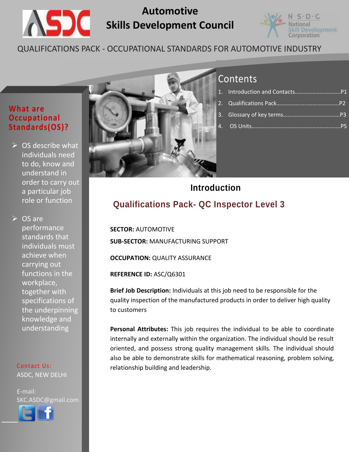

# **Automotive Skills Development Council**



## QUALIFICATIONS PACK - OCCUPATIONAL STANDARDS FOR AUTOMOTIVE INDUSTRY

#### **What are Occupational Standards(OS)?**

 $\triangleright$  OS describe what individuals need to do, know and understand in order to carry out a particular job role or function

 $\triangleright$  OS are performance standards that individuals must achieve when carrying out functions in the workplace, together with specifications of the underpinning knowledge and understanding

Contact Us: ASDC, NEW DELHI

l

E-mail: SKC.ASDC@gmail.com



## **Contents**

# **Qualifications Pack- QC Inspector Level 3 Introduction**

**SECTOR:** AUTOMOTIVE **SUB-SECTOR:** MANUFACTURING SUPPORT

**OCCUPATION: QUALITY ASSURANCE** 

**REFERENCE ID:** ASC/Q6301

**Brief Job Description:** Individuals at this job need to be responsible for the quality inspection of the manufactured products in order to deliver high quality to customers

**Personal Attributes:** This job requires the individual to be able to coordinate internally and externally within the organization. The individual should be result oriented, and possess strong quality management skills. The individual should also be able to demonstrate skills for mathematical reasoning, problem solving, relationship building and leadership.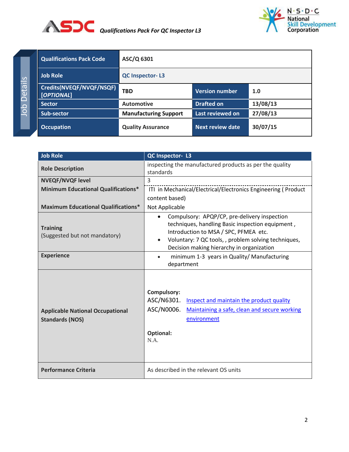



Job Details Job Details

<span id="page-1-0"></span>

| <b>Qualifications Pack Code</b>        | ASC/Q 6301                   |                         |          |
|----------------------------------------|------------------------------|-------------------------|----------|
| <b>Job Role</b>                        | <b>QC Inspector-L3</b>       |                         |          |
| Credits(NVEQF/NVQF/NSQF)<br>[OPTIONAL] | <b>TBD</b>                   | Version number          | 1.0      |
| <b>Sector</b>                          | <b>Automotive</b>            | <b>Drafted on</b>       | 13/08/13 |
| <b>Sub-sector</b>                      | <b>Manufacturing Support</b> | Last reviewed on        | 27/08/13 |
| <b>Occupation</b>                      | <b>Quality Assurance</b>     | <b>Next review date</b> | 30/07/15 |

| <b>Job Role</b>                                                   | QC Inspector- L3                                                                                                                                                                                                                                            |  |
|-------------------------------------------------------------------|-------------------------------------------------------------------------------------------------------------------------------------------------------------------------------------------------------------------------------------------------------------|--|
| <b>Role Description</b>                                           | inspecting the manufactured products as per the quality<br>standards                                                                                                                                                                                        |  |
| <b>NVEQF/NVQF level</b>                                           | $\overline{3}$                                                                                                                                                                                                                                              |  |
| <b>Minimum Educational Qualifications*</b>                        | ITI in Mechanical/Electrical/Electronics Engineering (Product                                                                                                                                                                                               |  |
|                                                                   | content based)                                                                                                                                                                                                                                              |  |
| <b>Maximum Educational Qualifications*</b>                        | Not Applicable                                                                                                                                                                                                                                              |  |
| <b>Training</b><br>(Suggested but not mandatory)                  | Compulsory: APQP/CP, pre-delivery inspection<br>$\bullet$<br>techniques, handling Basic inspection equipment,<br>Introduction to MSA / SPC, PFMEA etc.<br>Voluntary: 7 QC tools, , problem solving techniques,<br>Decision making hierarchy in organization |  |
| <b>Experience</b>                                                 | minimum 1-3 years in Quality/ Manufacturing<br>$\bullet$<br>department                                                                                                                                                                                      |  |
| <b>Applicable National Occupational</b><br><b>Standards (NOS)</b> | Compulsory:<br>ASC/N6301.<br>Inspect and maintain the product quality<br>ASC/N0006.<br>Maintaining a safe, clean and secure working<br>environment<br><b>Optional:</b><br>N.A.                                                                              |  |
| <b>Performance Criteria</b>                                       | As described in the relevant OS units                                                                                                                                                                                                                       |  |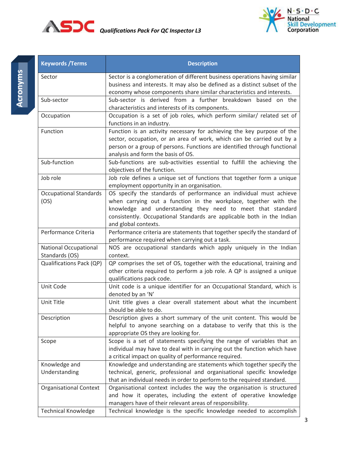



<span id="page-2-0"></span>

| <b>Keywords / Terms</b>         | <b>Description</b>                                                                                     |
|---------------------------------|--------------------------------------------------------------------------------------------------------|
| Sector                          | Sector is a conglomeration of different business operations having similar                             |
|                                 | business and interests. It may also be defined as a distinct subset of the                             |
|                                 | economy whose components share similar characteristics and interests.                                  |
| Sub-sector                      | Sub-sector is derived from a further breakdown based on the                                            |
|                                 | characteristics and interests of its components.                                                       |
| Occupation                      | Occupation is a set of job roles, which perform similar/ related set of                                |
|                                 | functions in an industry.                                                                              |
| Function                        | Function is an activity necessary for achieving the key purpose of the                                 |
|                                 | sector, occupation, or an area of work, which can be carried out by a                                  |
|                                 | person or a group of persons. Functions are identified through functional                              |
| Sub-function                    | analysis and form the basis of OS.                                                                     |
|                                 | Sub-functions are sub-activities essential to fulfill the achieving the<br>objectives of the function. |
| Job role                        | Job role defines a unique set of functions that together form a unique                                 |
|                                 | employment opportunity in an organisation.                                                             |
| <b>Occupational Standards</b>   | OS specify the standards of performance an individual must achieve                                     |
| (OS)                            | when carrying out a function in the workplace, together with the                                       |
|                                 | knowledge and understanding they need to meet that standard                                            |
|                                 | consistently. Occupational Standards are applicable both in the Indian                                 |
|                                 | and global contexts.                                                                                   |
| Performance Criteria            | Performance criteria are statements that together specify the standard of                              |
|                                 | performance required when carrying out a task.                                                         |
| <b>National Occupational</b>    | NOS are occupational standards which apply uniquely in the Indian                                      |
| Standards (OS)                  | context.                                                                                               |
| <b>Qualifications Pack (QP)</b> | QP comprises the set of OS, together with the educational, training and                                |
|                                 | other criteria required to perform a job role. A QP is assigned a unique                               |
|                                 | qualifications pack code.                                                                              |
| Unit Code                       | Unit code is a unique identifier for an Occupational Standard, which is                                |
|                                 | denoted by an 'N'                                                                                      |
| Unit Title                      | Unit title gives a clear overall statement about what the incumbent<br>should be able to do.           |
| Description                     | Description gives a short summary of the unit content. This would be                                   |
|                                 | helpful to anyone searching on a database to verify that this is the                                   |
|                                 | appropriate OS they are looking for.                                                                   |
| Scope                           | Scope is a set of statements specifying the range of variables that an                                 |
|                                 | individual may have to deal with in carrying out the function which have                               |
|                                 | a critical impact on quality of performance required.                                                  |
| Knowledge and                   | Knowledge and understanding are statements which together specify the                                  |
| Understanding                   | technical, generic, professional and organisational specific knowledge                                 |
|                                 | that an individual needs in order to perform to the required standard.                                 |
| <b>Organisational Context</b>   | Organisational context includes the way the organisation is structured                                 |
|                                 | and how it operates, including the extent of operative knowledge                                       |
|                                 | managers have of their relevant areas of responsibility.                                               |
| <b>Technical Knowledge</b>      | Technical knowledge is the specific knowledge needed to accomplish                                     |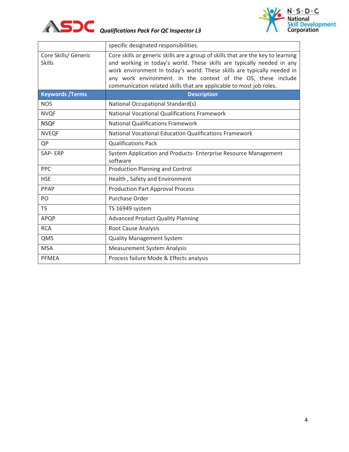



|                                       | specific designated responsibilities.                                                                                                                                                                                                                                                                                                                                         |
|---------------------------------------|-------------------------------------------------------------------------------------------------------------------------------------------------------------------------------------------------------------------------------------------------------------------------------------------------------------------------------------------------------------------------------|
| Core Skills/ Generic<br><b>Skills</b> | Core skills or generic skills are a group of skills that are the key to learning<br>and working in today's world. These skills are typically needed in any<br>work environment in today's world. These skills are typically needed in<br>any work environment. In the context of the OS, these include<br>communication related skills that are applicable to most job roles. |
| <b>Keywords / Terms</b>               | <b>Description</b>                                                                                                                                                                                                                                                                                                                                                            |
| <b>NOS</b>                            | National Occupational Standard(s)                                                                                                                                                                                                                                                                                                                                             |
| <b>NVQF</b>                           | <b>National Vocational Qualifications Framework</b>                                                                                                                                                                                                                                                                                                                           |
| <b>NSQF</b>                           | <b>National Qualifications Framework</b>                                                                                                                                                                                                                                                                                                                                      |
| <b>NVEQF</b>                          | National Vocational Education Qualifications Framework                                                                                                                                                                                                                                                                                                                        |
| QP                                    | <b>Qualifications Pack</b>                                                                                                                                                                                                                                                                                                                                                    |
| SAP-ERP                               | System Application and Products- Enterprise Resource Management<br>software                                                                                                                                                                                                                                                                                                   |
| PPC                                   | <b>Production Planning and Control</b>                                                                                                                                                                                                                                                                                                                                        |
| <b>HSE</b>                            | Health, Safety and Environment                                                                                                                                                                                                                                                                                                                                                |
| PPAP                                  | <b>Production Part Approval Process</b>                                                                                                                                                                                                                                                                                                                                       |
| PO                                    | Purchase Order                                                                                                                                                                                                                                                                                                                                                                |
| <b>TS</b>                             | TS 16949 system                                                                                                                                                                                                                                                                                                                                                               |
| APQP                                  | <b>Advanced Product Quality Planning</b>                                                                                                                                                                                                                                                                                                                                      |
| <b>RCA</b>                            | <b>Root Cause Analysis</b>                                                                                                                                                                                                                                                                                                                                                    |
| QMS                                   | <b>Quality Management System</b>                                                                                                                                                                                                                                                                                                                                              |
| <b>MSA</b>                            | <b>Measurement System Analysis</b>                                                                                                                                                                                                                                                                                                                                            |
| <b>PFMEA</b>                          | Process failure Mode & Effects analysis                                                                                                                                                                                                                                                                                                                                       |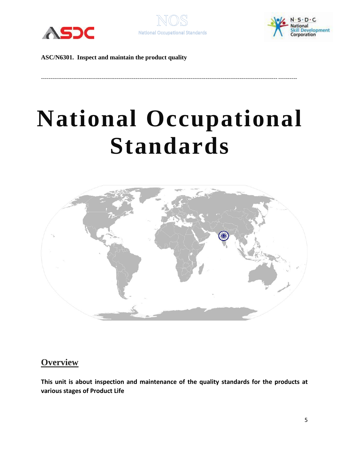





# **National Occupational Standards**

---------------------------------------------------------------------------------------------------------------------------------------



## **Overview**

**This unit is about inspection and maintenance of the quality standards for the products at various stages of Product Life**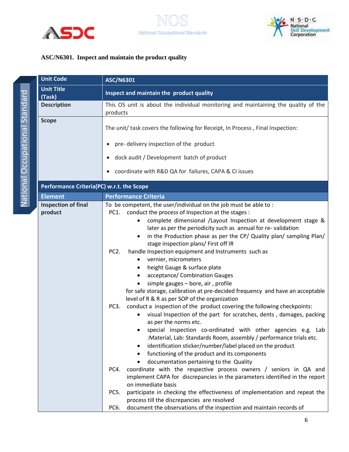



|                         | <b>Unit Code</b>           |
|-------------------------|----------------------------|
|                         | <b>Unit Title</b>          |
|                         | (Task)                     |
| U POLE DE LO POLE DE LO | <b>Description</b>         |
|                         | <b>Scope</b>               |
|                         |                            |
|                         |                            |
|                         |                            |
|                         |                            |
| Le Die Sie              | <b>Performance Criteri</b> |
|                         | <b>Element</b>             |
|                         | <b>Inspection of final</b> |
|                         | product                    |

<span id="page-5-0"></span>

| <b>Unit Code</b>                          | <b>ASC/N6301</b><br>Inspect and maintain the product quality<br>This OS unit is about the individual monitoring and maintaining the quality of the<br>products                                                                                                                                                                                                                                                                                                                                                                                                                                                                                                                                                                                                                                                                                                                                                                                                                                                                                                                                                                                                                                                                                                                                                                                                                                                                                                                                                                                                                                          |  |  |
|-------------------------------------------|---------------------------------------------------------------------------------------------------------------------------------------------------------------------------------------------------------------------------------------------------------------------------------------------------------------------------------------------------------------------------------------------------------------------------------------------------------------------------------------------------------------------------------------------------------------------------------------------------------------------------------------------------------------------------------------------------------------------------------------------------------------------------------------------------------------------------------------------------------------------------------------------------------------------------------------------------------------------------------------------------------------------------------------------------------------------------------------------------------------------------------------------------------------------------------------------------------------------------------------------------------------------------------------------------------------------------------------------------------------------------------------------------------------------------------------------------------------------------------------------------------------------------------------------------------------------------------------------------------|--|--|
| <b>Unit Title</b><br>(Task)               |                                                                                                                                                                                                                                                                                                                                                                                                                                                                                                                                                                                                                                                                                                                                                                                                                                                                                                                                                                                                                                                                                                                                                                                                                                                                                                                                                                                                                                                                                                                                                                                                         |  |  |
| <b>Description</b>                        |                                                                                                                                                                                                                                                                                                                                                                                                                                                                                                                                                                                                                                                                                                                                                                                                                                                                                                                                                                                                                                                                                                                                                                                                                                                                                                                                                                                                                                                                                                                                                                                                         |  |  |
| <b>Scope</b>                              | The unit/ task covers the following for Receipt, In Process, Final Inspection:<br>pre-delivery inspection of the product<br>dock audit / Development batch of product<br>coordinate with R&D QA for failures, CAPA & CI issues                                                                                                                                                                                                                                                                                                                                                                                                                                                                                                                                                                                                                                                                                                                                                                                                                                                                                                                                                                                                                                                                                                                                                                                                                                                                                                                                                                          |  |  |
| Performance Criteria(PC) w.r.t. the Scope |                                                                                                                                                                                                                                                                                                                                                                                                                                                                                                                                                                                                                                                                                                                                                                                                                                                                                                                                                                                                                                                                                                                                                                                                                                                                                                                                                                                                                                                                                                                                                                                                         |  |  |
| <b>Element</b>                            | <b>Performance Criteria</b>                                                                                                                                                                                                                                                                                                                                                                                                                                                                                                                                                                                                                                                                                                                                                                                                                                                                                                                                                                                                                                                                                                                                                                                                                                                                                                                                                                                                                                                                                                                                                                             |  |  |
| <b>Inspection of final</b><br>product     | To be competent, the user/individual on the job must be able to:<br>conduct the process of Inspection at the stages :<br>PC1.<br>complete dimensional /Layout Inspection at development stage &<br>later as per the periodicity such as annual for re-validation<br>in the Production phase as per the CP/ Quality plan/ sampling Plan/<br>$\bullet$<br>stage inspection plans/ First off IR<br>PC <sub>2</sub> .<br>handle Inspection equipment and Instruments such as<br>vernier, micrometers<br>٠<br>height Gauge & surface plate<br>٠<br>acceptance/ Combination Gauges<br>٠<br>simple gauges - bore, air, profile<br>for safe storage, calibration at pre-decided frequency and have an acceptable<br>level of R & R as per SOP of the organization<br>conduct a inspection of the product covering the following checkpoints:<br>PC <sub>3</sub> .<br>visual Inspection of the part for scratches, dents, damages, packing<br>$\bullet$<br>as per the norms etc.<br>special inspection co-ordinated with other agencies e.g. Lab<br>:Material, Lab: Standards Room, assembly / performance trials etc.<br>identification sticker/number/label placed on the product<br>٠<br>functioning of the product and its components<br>٠<br>documentation pertaining to the Quality<br>coordinate with the respective process owners / seniors in QA and<br>PC4.<br>implement CAPA for discrepancies in the parameters identified in the report<br>on immediate basis<br>participate in checking the effectiveness of implementation and repeat the<br>PC5.<br>process till the discrepancies are resolved |  |  |
|                                           | document the observations of the inspection and maintain records of<br>PC6.                                                                                                                                                                                                                                                                                                                                                                                                                                                                                                                                                                                                                                                                                                                                                                                                                                                                                                                                                                                                                                                                                                                                                                                                                                                                                                                                                                                                                                                                                                                             |  |  |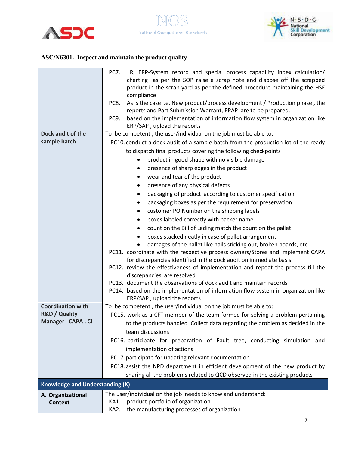



|                                        | IR, ERP-System record and special process capability index calculation/<br>PC7.     |
|----------------------------------------|-------------------------------------------------------------------------------------|
|                                        | charting as per the SOP raise a scrap note and dispose off the scrapped             |
|                                        | product in the scrap yard as per the defined procedure maintaining the HSE          |
|                                        | compliance                                                                          |
|                                        | As is the case i.e. New product/process development / Production phase, the<br>PC8. |
|                                        | reports and Part Submission Warrant, PPAP are to be prepared.                       |
|                                        | PC9.<br>based on the implementation of information flow system in organization like |
|                                        | ERP/SAP, upload the reports                                                         |
| Dock audit of the                      | To be competent, the user/individual on the job must be able to:                    |
| sample batch                           | PC10. conduct a dock audit of a sample batch from the production lot of the ready   |
|                                        | to dispatch final products covering the following checkpoints :                     |
|                                        | product in good shape with no visible damage                                        |
|                                        | presence of sharp edges in the product<br>$\bullet$                                 |
|                                        | wear and tear of the product<br>$\bullet$                                           |
|                                        | presence of any physical defects<br>$\bullet$                                       |
|                                        | packaging of product according to customer specification<br>$\bullet$               |
|                                        | packaging boxes as per the requirement for preservation                             |
|                                        | customer PO Number on the shipping labels                                           |
|                                        | boxes labeled correctly with packer name<br>٠                                       |
|                                        | count on the Bill of Lading match the count on the pallet                           |
|                                        | boxes stacked neatly in case of pallet arrangement                                  |
|                                        | damages of the pallet like nails sticking out, broken boards, etc.                  |
|                                        | PC11. coordinate with the respective process owners/Stores and implement CAPA       |
|                                        | for discrepancies identified in the dock audit on immediate basis                   |
|                                        | PC12. review the effectiveness of implementation and repeat the process till the    |
|                                        | discrepancies are resolved                                                          |
|                                        | PC13. document the observations of dock audit and maintain records                  |
|                                        | PC14. based on the implementation of information flow system in organization like   |
| <b>Coordination with</b>               | ERP/SAP, upload the reports                                                         |
| R&D / Quality                          | To be competent, the user/individual on the job must be able to:                    |
| Manager CAPA, CI                       | PC15. work as a CFT member of the team formed for solving a problem pertaining      |
|                                        | to the products handled . Collect data regarding the problem as decided in the      |
|                                        | team discussions                                                                    |
|                                        | PC16. participate for preparation of Fault tree, conducting simulation and          |
|                                        | implementation of actions                                                           |
|                                        | PC17. participate for updating relevant documentation                               |
|                                        | PC18 assist the NPD department in efficient development of the new product by       |
|                                        | sharing all the problems related to QCD observed in the existing products           |
| <b>Knowledge and Understanding (K)</b> |                                                                                     |
| A. Organizational                      | The user/individual on the job needs to know and understand:                        |
| <b>Context</b>                         | product portfolio of organization<br>KA1.                                           |
|                                        | the manufacturing processes of organization<br>KA2.                                 |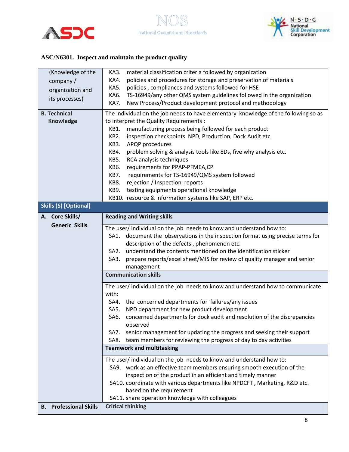





| (Knowledge of the                                           | material classification criteria followed by organization<br>KA3.                   |  |  |
|-------------------------------------------------------------|-------------------------------------------------------------------------------------|--|--|
| company/                                                    | policies and procedures for storage and preservation of materials<br>KA4.           |  |  |
| organization and                                            | <b>KA5.</b><br>policies, compliances and systems followed for HSE                   |  |  |
|                                                             | TS-16949/any other QMS system guidelines followed in the organization<br>KA6.       |  |  |
| its processes)                                              | KA7.<br>New Process/Product development protocol and methodology                    |  |  |
| <b>B. Technical</b>                                         | The individual on the job needs to have elementary knowledge of the following so as |  |  |
| Knowledge                                                   | to interpret the Quality Requirements :                                             |  |  |
|                                                             | manufacturing process being followed for each product<br>KB1.                       |  |  |
|                                                             | KB2.<br>inspection checkpoints NPD, Production, Dock Audit etc.                     |  |  |
|                                                             | APQP procedures<br>KB3.                                                             |  |  |
|                                                             | problem solving & analysis tools like 8Ds, five why analysis etc.<br>KB4.           |  |  |
|                                                             | KB5.<br>RCA analysis techniques                                                     |  |  |
|                                                             | requirements for PPAP-PFMEA,CP<br><b>KB6.</b>                                       |  |  |
|                                                             | KB7.<br>requirements for TS-16949/QMS system followed                               |  |  |
|                                                             | KB8.<br>rejection / Inspection reports                                              |  |  |
|                                                             | testing equipments operational knowledge<br>KB9.                                    |  |  |
|                                                             | KB10. resource & information systems like SAP, ERP etc.                             |  |  |
| <b>Skills (S) [Optional]</b>                                |                                                                                     |  |  |
| A. Core Skills/                                             | <b>Reading and Writing skills</b>                                                   |  |  |
| <b>Generic Skills</b>                                       | The user/ individual on the job needs to know and understand how to:                |  |  |
|                                                             | document the observations in the inspection format using precise terms for<br>SA1.  |  |  |
|                                                             | description of the defects, phenomenon etc.                                         |  |  |
|                                                             | understand the contents mentioned on the identification sticker<br>SA2.             |  |  |
|                                                             | prepare reports/excel sheet/MIS for review of quality manager and senior<br>SA3.    |  |  |
|                                                             | management                                                                          |  |  |
|                                                             | <b>Communication skills</b>                                                         |  |  |
|                                                             | The user/ individual on the job needs to know and understand how to communicate     |  |  |
|                                                             | with:                                                                               |  |  |
|                                                             | SA4. the concerned departments for failures/any issues                              |  |  |
|                                                             | NPD department for new product development<br>SA5.                                  |  |  |
|                                                             | concerned departments for dock audit and resolution of the discrepancies<br>SA6.    |  |  |
|                                                             | observed                                                                            |  |  |
|                                                             | senior management for updating the progress and seeking their support<br>SA7.       |  |  |
|                                                             | team members for reviewing the progress of day to day activities<br>SA8.            |  |  |
|                                                             | <b>Teamwork and multitasking</b>                                                    |  |  |
|                                                             | The user/ individual on the job needs to know and understand how to:                |  |  |
|                                                             | SA9. work as an effective team members ensuring smooth execution of the             |  |  |
| inspection of the product in an efficient and timely manner |                                                                                     |  |  |
|                                                             | SA10. coordinate with various departments like NPDCFT, Marketing, R&D etc.          |  |  |
| based on the requirement                                    |                                                                                     |  |  |
|                                                             | SA11. share operation knowledge with colleagues                                     |  |  |
| <b>B.</b> Professional Skills                               | <b>Critical thinking</b>                                                            |  |  |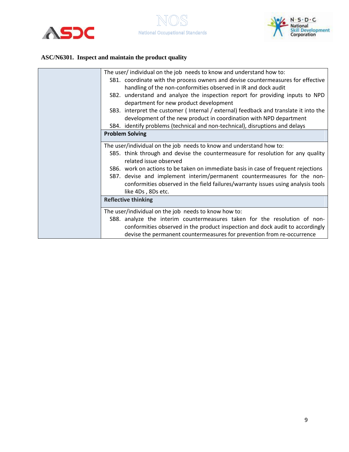



| The user/ individual on the job needs to know and understand how to:<br>SB1. coordinate with the process owners and devise countermeasures for effective<br>handling of the non-conformities observed in IR and dock audit |
|----------------------------------------------------------------------------------------------------------------------------------------------------------------------------------------------------------------------------|
| SB2. understand and analyze the inspection report for providing inputs to NPD<br>department for new product development                                                                                                    |
| SB3. interpret the customer (Internal / external) feedback and translate it into the<br>development of the new product in coordination with NPD department                                                                 |
| SB4. identify problems (technical and non-technical), disruptions and delays                                                                                                                                               |
| <b>Problem Solving</b>                                                                                                                                                                                                     |
| The user/individual on the job needs to know and understand how to:                                                                                                                                                        |
| SB5. think through and devise the countermeasure for resolution for any quality<br>related issue observed                                                                                                                  |
| SB6. work on actions to be taken on immediate basis in case of frequent rejections                                                                                                                                         |
| SB7. devise and implement interim/permanent countermeasures for the non-                                                                                                                                                   |
| conformities observed in the field failures/warranty issues using analysis tools<br>like 4Ds, 8Ds etc.                                                                                                                     |
| <b>Reflective thinking</b>                                                                                                                                                                                                 |
| The user/individual on the job needs to know how to:                                                                                                                                                                       |
| SB8. analyze the interim countermeasures taken for the resolution of non-                                                                                                                                                  |
| conformities observed in the product inspection and dock audit to accordingly                                                                                                                                              |
| devise the permanent countermeasures for prevention from re-occurrence                                                                                                                                                     |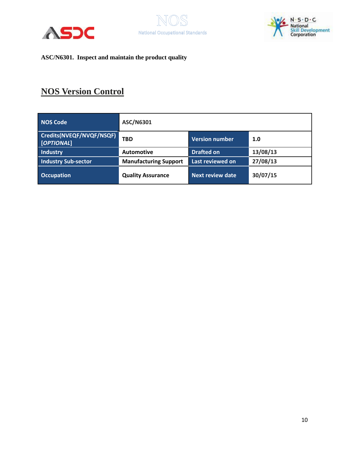





## **NOS Version Control**

| <b>NOS Code</b>                        | ASC/N6301                    |                         |          |
|----------------------------------------|------------------------------|-------------------------|----------|
| Credits(NVEQF/NVQF/NSQF)<br>[OPTIONAL] | <b>TBD</b>                   | <b>Version number</b>   | 1.0      |
| <b>Industry</b>                        | <b>Automotive</b>            | <b>Drafted on</b>       | 13/08/13 |
| Industry Sub-sector                    | <b>Manufacturing Support</b> | Last reviewed on        | 27/08/13 |
| <b>Occupation</b>                      | <b>Quality Assurance</b>     | <b>Next review date</b> | 30/07/15 |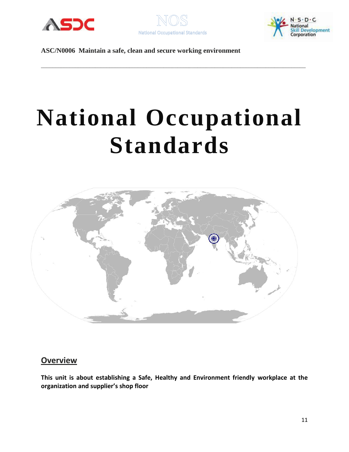



\_\_\_\_\_\_\_\_\_\_\_\_\_\_\_\_\_\_\_\_\_\_\_\_\_\_\_\_\_\_\_\_\_\_\_\_\_\_\_\_\_\_\_\_\_\_\_\_\_\_\_\_\_\_\_\_\_\_\_\_\_\_\_\_\_\_\_\_\_\_\_\_\_\_\_\_\_\_\_\_\_\_\_\_\_\_\_\_\_\_\_\_\_



**ASC/N0006 Maintain a safe, clean and secure working environment**

# **National Occupational Standards**



#### **Overview**

**This unit is about establishing a Safe, Healthy and Environment friendly workplace at the organization and supplier's shop floor**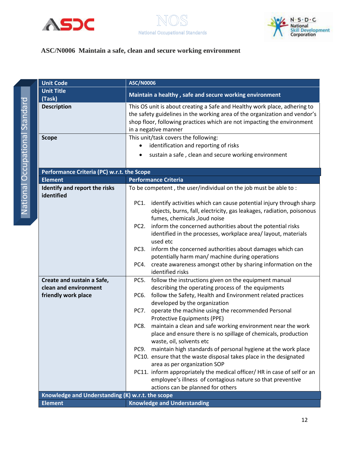

National Occupational Standard

**National Occupational Standard** 





#### **ASC/N0006 Maintain a safe, clean and secure working environment**

<span id="page-11-0"></span>

| <b>Unit Code</b>                                    | <b>ASC/N0006</b>                                                                                                                                                                                                                                           |  |
|-----------------------------------------------------|------------------------------------------------------------------------------------------------------------------------------------------------------------------------------------------------------------------------------------------------------------|--|
| <b>Unit Title</b>                                   | Maintain a healthy, safe and secure working environment                                                                                                                                                                                                    |  |
| (Task)                                              |                                                                                                                                                                                                                                                            |  |
| <b>Description</b>                                  | This OS unit is about creating a Safe and Healthy work place, adhering to<br>the safety guidelines in the working area of the organization and vendor's<br>shop floor, following practices which are not impacting the environment<br>in a negative manner |  |
| <b>Scope</b>                                        | This unit/task covers the following:                                                                                                                                                                                                                       |  |
|                                                     | identification and reporting of risks                                                                                                                                                                                                                      |  |
|                                                     | sustain a safe, clean and secure working environment                                                                                                                                                                                                       |  |
| Performance Criteria (PC) w.r.t. the Scope          |                                                                                                                                                                                                                                                            |  |
| <b>Element</b>                                      | <b>Performance Criteria</b>                                                                                                                                                                                                                                |  |
| Identify and report the risks<br>identified         | To be competent, the user/individual on the job must be able to:                                                                                                                                                                                           |  |
|                                                     | identify activities which can cause potential injury through sharp<br>PC1.<br>objects, burns, fall, electricity, gas leakages, radiation, poisonous<br>fumes, chemicals , loud noise                                                                       |  |
|                                                     | inform the concerned authorities about the potential risks<br>PC <sub>2</sub> .<br>identified in the processes, workplace area/ layout, materials<br>used etc                                                                                              |  |
|                                                     | inform the concerned authorities about damages which can<br>PC3.<br>potentially harm man/ machine during operations                                                                                                                                        |  |
|                                                     | create awareness amongst other by sharing information on the<br>PC4.<br>identified risks                                                                                                                                                                   |  |
| Create and sustain a Safe,<br>clean and environment | PC5.<br>follow the instructions given on the equipment manual<br>describing the operating process of the equipments                                                                                                                                        |  |
| friendly work place                                 | follow the Safety, Health and Environment related practices<br>PC6.<br>developed by the organization                                                                                                                                                       |  |
|                                                     | operate the machine using the recommended Personal<br>PC7.<br>Protective Equipments (PPE)                                                                                                                                                                  |  |
|                                                     | maintain a clean and safe working environment near the work<br>PC8.<br>place and ensure there is no spillage of chemicals, production<br>waste, oil, solvents etc                                                                                          |  |
|                                                     | maintain high standards of personal hygiene at the work place<br>PC9.                                                                                                                                                                                      |  |
|                                                     | PC10. ensure that the waste disposal takes place in the designated<br>area as per organization SOP                                                                                                                                                         |  |
|                                                     | PC11. inform appropriately the medical officer/ HR in case of self or an                                                                                                                                                                                   |  |
|                                                     | employee's illness of contagious nature so that preventive                                                                                                                                                                                                 |  |
|                                                     | actions can be planned for others                                                                                                                                                                                                                          |  |
| Knowledge and Understanding (K) w.r.t. the scope    |                                                                                                                                                                                                                                                            |  |
| <b>Element</b>                                      | <b>Knowledge and Understanding</b>                                                                                                                                                                                                                         |  |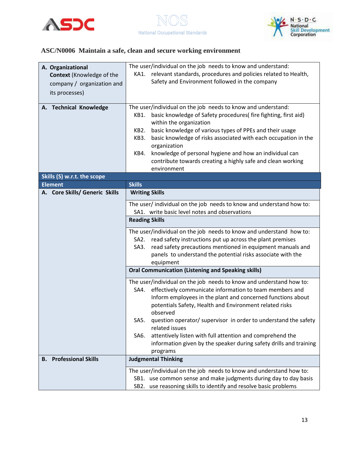





## **ASC/N0006 Maintain a safe, clean and secure working environment**

| A. Organizational                | The user/individual on the job needs to know and understand:                                                                                                                                                                                                                                                                                                                                                                                                       |  |  |
|----------------------------------|--------------------------------------------------------------------------------------------------------------------------------------------------------------------------------------------------------------------------------------------------------------------------------------------------------------------------------------------------------------------------------------------------------------------------------------------------------------------|--|--|
| <b>Context (Knowledge of the</b> | KA1. relevant standards, procedures and policies related to Health,                                                                                                                                                                                                                                                                                                                                                                                                |  |  |
| company / organization and       | Safety and Environment followed in the company                                                                                                                                                                                                                                                                                                                                                                                                                     |  |  |
| its processes)                   |                                                                                                                                                                                                                                                                                                                                                                                                                                                                    |  |  |
|                                  |                                                                                                                                                                                                                                                                                                                                                                                                                                                                    |  |  |
| A. Technical Knowledge           | The user/individual on the job needs to know and understand:<br>basic knowledge of Safety procedures(fire fighting, first aid)<br>KB1.<br>within the organization<br>basic knowledge of various types of PPEs and their usage<br>KB2.<br>basic knowledge of risks associated with each occupation in the<br>KB3.<br>organization<br>knowledge of personal hygiene and how an individual can<br>KB4.<br>contribute towards creating a highly safe and clean working |  |  |
|                                  | environment                                                                                                                                                                                                                                                                                                                                                                                                                                                        |  |  |
| Skills (S) w.r.t. the scope      |                                                                                                                                                                                                                                                                                                                                                                                                                                                                    |  |  |
| <b>Element</b>                   | <b>Skills</b>                                                                                                                                                                                                                                                                                                                                                                                                                                                      |  |  |
| A. Core Skills/ Generic Skills   | <b>Writing Skills</b>                                                                                                                                                                                                                                                                                                                                                                                                                                              |  |  |
|                                  | The user/individual on the job needs to know and understand how to:                                                                                                                                                                                                                                                                                                                                                                                                |  |  |
|                                  | SA1. write basic level notes and observations                                                                                                                                                                                                                                                                                                                                                                                                                      |  |  |
|                                  | <b>Reading Skills</b>                                                                                                                                                                                                                                                                                                                                                                                                                                              |  |  |
|                                  |                                                                                                                                                                                                                                                                                                                                                                                                                                                                    |  |  |
|                                  | The user/individual on the job needs to know and understand how to:<br>SA2.<br>read safety instructions put up across the plant premises                                                                                                                                                                                                                                                                                                                           |  |  |
|                                  | read safety precautions mentioned in equipment manuals and<br>SA3.                                                                                                                                                                                                                                                                                                                                                                                                 |  |  |
|                                  | panels to understand the potential risks associate with the                                                                                                                                                                                                                                                                                                                                                                                                        |  |  |
|                                  | equipment                                                                                                                                                                                                                                                                                                                                                                                                                                                          |  |  |
|                                  | <b>Oral Communication (Listening and Speaking skills)</b>                                                                                                                                                                                                                                                                                                                                                                                                          |  |  |
|                                  | The user/individual on the job needs to know and understand how to:<br>effectively communicate information to team members and<br>SA4.<br>Inform employees in the plant and concerned functions about<br>potentials Safety, Health and Environment related risks<br>observed                                                                                                                                                                                       |  |  |
|                                  | question operator/ supervisor in order to understand the safety<br>SA5.<br>related issues                                                                                                                                                                                                                                                                                                                                                                          |  |  |
|                                  | attentively listen with full attention and comprehend the<br>SA6.<br>information given by the speaker during safety drills and training<br>programs                                                                                                                                                                                                                                                                                                                |  |  |
| <b>Professional Skills</b><br>В. | <b>Judgmental Thinking</b>                                                                                                                                                                                                                                                                                                                                                                                                                                         |  |  |
|                                  | The user/individual on the job needs to know and understand how to:<br>SB1. use common sense and make judgments during day to day basis<br>use reasoning skills to identify and resolve basic problems<br>SB2.                                                                                                                                                                                                                                                     |  |  |